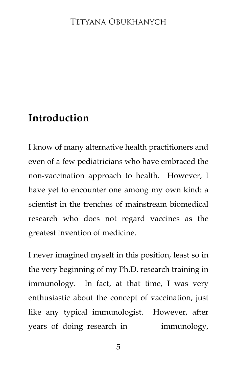# **Introduction**

I know of many alternative health practitioners and even of a few pediatricians who have embraced the non-vaccination approach to health. However, I have yet to encounter one among my own kind: a scientist in the trenches of mainstream biomedical research who does not regard vaccines as the greatest invention of medicine.

I never imagined myself in this position, least so in the very beginning of my Ph.D. research training in immunology. In fact, at that time, I was very enthusiastic about the concept of vaccination, just like any typical immunologist. However, after years of doing research in immunology,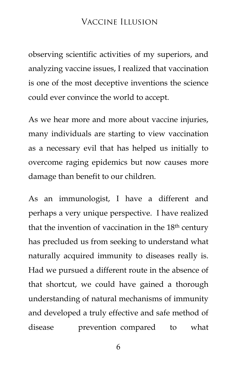# Vaccine Illusion

observing scientific activities of my superiors, and analyzing vaccine issues, I realized that vaccination is one of the most deceptive inventions the science could ever convince the world to accept.

As we hear more and more about vaccine injuries, many individuals are starting to view vaccination as a necessary evil that has helped us initially to overcome raging epidemics but now causes more damage than benefit to our children.

As an immunologist, I have a different and perhaps a very unique perspective. I have realized that the invention of vaccination in the 18th century has precluded us from seeking to understand what naturally acquired immunity to diseases really is. Had we pursued a different route in the absence of that shortcut, we could have gained a thorough understanding of natural mechanisms of immunity and developed a truly effective and safe method of disease prevention compared to what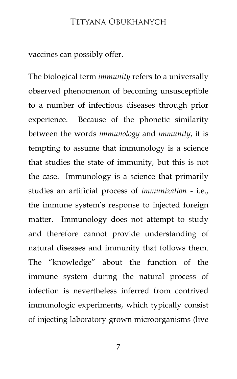## Tetyana Obukhanych

vaccines can possibly offer.

The biological term *immunity* refers to a universally observed phenomenon of becoming unsusceptible to a number of infectious diseases through prior experience. Because of the phonetic similarity between the words *immunology* and *immunity*, it is tempting to assume that immunology is a science that studies the state of immunity, but this is not the case. Immunology is a science that primarily studies an artificial process of *immunization* - i.e., the immune system's response to injected foreign matter. Immunology does not attempt to study and therefore cannot provide understanding of natural diseases and immunity that follows them. The "knowledge" about the function of the immune system during the natural process of infection is nevertheless inferred from contrived immunologic experiments, which typically consist of injecting laboratory-grown microorganisms (live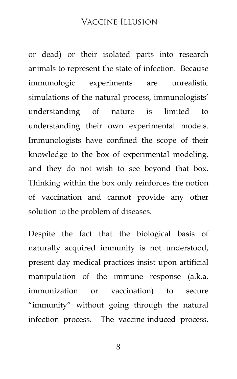## Vaccine Illusion

or dead) or their isolated parts into research animals to represent the state of infection. Because immunologic experiments are unrealistic simulations of the natural process, immunologists' understanding of nature is limited to understanding their own experimental models. Immunologists have confined the scope of their knowledge to the box of experimental modeling, and they do not wish to see beyond that box. Thinking within the box only reinforces the notion of vaccination and cannot provide any other solution to the problem of diseases.

Despite the fact that the biological basis of naturally acquired immunity is not understood, present day medical practices insist upon artificial manipulation of the immune response (a.k.a. immunization or vaccination) to secure "immunity" without going through the natural infection process. The vaccine-induced process,

8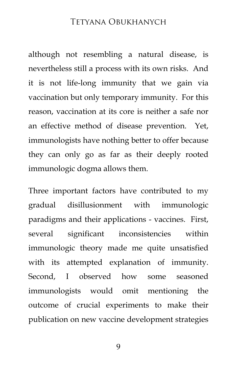## Tetyana Obukhanych

although not resembling a natural disease, is nevertheless still a process with its own risks. And it is not life-long immunity that we gain via vaccination but only temporary immunity. For this reason, vaccination at its core is neither a safe nor an effective method of disease prevention. Yet, immunologists have nothing better to offer because they can only go as far as their deeply rooted immunologic dogma allows them.

Three important factors have contributed to my gradual disillusionment with immunologic paradigms and their applications - vaccines. First, several significant inconsistencies within immunologic theory made me quite unsatisfied with its attempted explanation of immunity. Second, I observed how some seasoned immunologists would omit mentioning the outcome of crucial experiments to make their publication on new vaccine development strategies

9